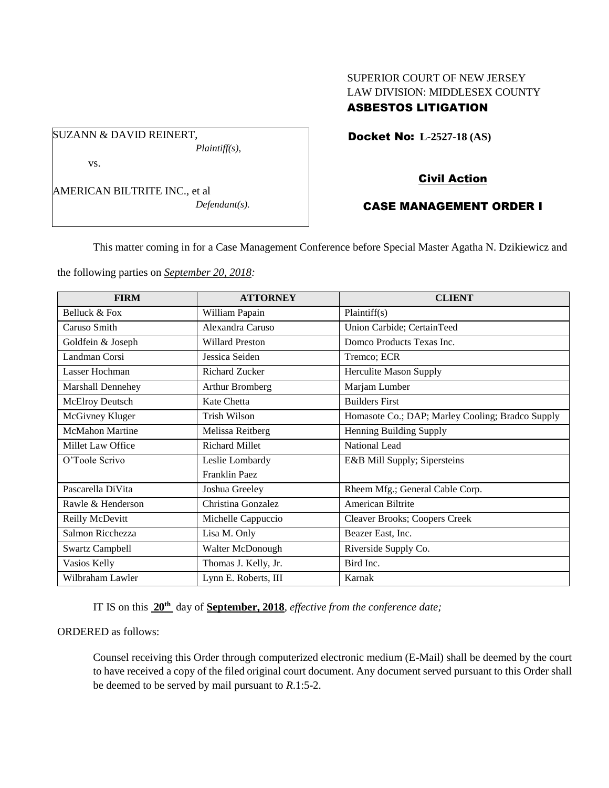# SUPERIOR COURT OF NEW JERSEY LAW DIVISION: MIDDLESEX COUNTY ASBESTOS LITIGATION

Docket No: **L-2527-18 (AS)** 

vs.

SUZANN & DAVID REINERT,

AMERICAN BILTRITE INC., et al

*Defendant(s).*

*Plaintiff(s),*

# Civil Action

# CASE MANAGEMENT ORDER I

This matter coming in for a Case Management Conference before Special Master Agatha N. Dzikiewicz and

the following parties on *September 20, 2018:*

| <b>FIRM</b>              | <b>ATTORNEY</b>        | <b>CLIENT</b>                                    |
|--------------------------|------------------------|--------------------------------------------------|
| Belluck & Fox            | William Papain         | Plaintiff(s)                                     |
| Caruso Smith             | Alexandra Caruso       | Union Carbide; CertainTeed                       |
| Goldfein & Joseph        | <b>Willard Preston</b> | Domco Products Texas Inc.                        |
| Landman Corsi            | Jessica Seiden         | Tremco; ECR                                      |
| Lasser Hochman           | <b>Richard Zucker</b>  | <b>Herculite Mason Supply</b>                    |
| <b>Marshall Dennehey</b> | Arthur Bromberg        | Marjam Lumber                                    |
| McElroy Deutsch          | Kate Chetta            | <b>Builders First</b>                            |
| McGivney Kluger          | Trish Wilson           | Homasote Co.; DAP; Marley Cooling; Bradco Supply |
| <b>McMahon Martine</b>   | Melissa Reitberg       | Henning Building Supply                          |
| Millet Law Office        | <b>Richard Millet</b>  | National Lead                                    |
| O'Toole Scrivo           | Leslie Lombardy        | E&B Mill Supply; Sipersteins                     |
|                          | Franklin Paez          |                                                  |
| Pascarella DiVita        | Joshua Greeley         | Rheem Mfg.; General Cable Corp.                  |
| Rawle & Henderson        | Christina Gonzalez     | American Biltrite                                |
| Reilly McDevitt          | Michelle Cappuccio     | <b>Cleaver Brooks; Coopers Creek</b>             |
| Salmon Ricchezza         | Lisa M. Only           | Beazer East, Inc.                                |
| <b>Swartz Campbell</b>   | Walter McDonough       | Riverside Supply Co.                             |
| Vasios Kelly             | Thomas J. Kelly, Jr.   | Bird Inc.                                        |
| Wilbraham Lawler         | Lynn E. Roberts, III   | Karnak                                           |

IT IS on this **20th** day of **September, 2018**, *effective from the conference date;*

ORDERED as follows:

Counsel receiving this Order through computerized electronic medium (E-Mail) shall be deemed by the court to have received a copy of the filed original court document. Any document served pursuant to this Order shall be deemed to be served by mail pursuant to *R*.1:5-2.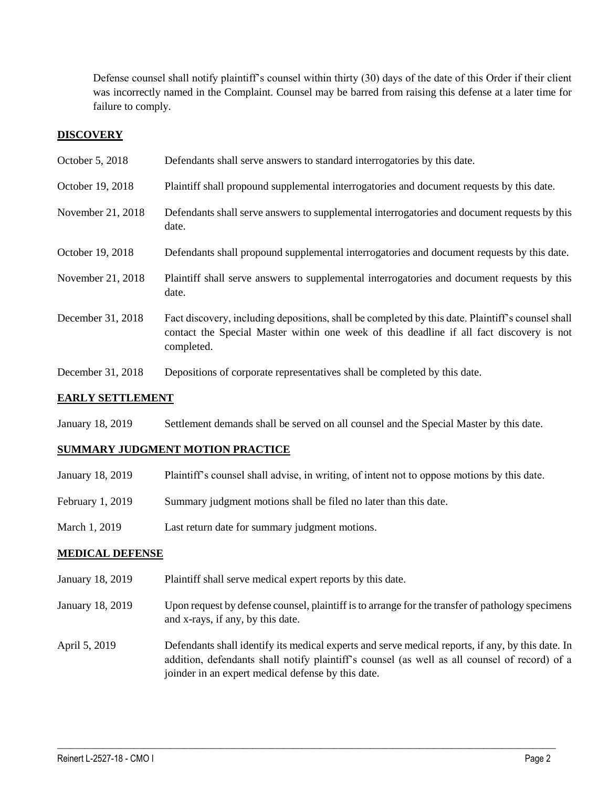Defense counsel shall notify plaintiff's counsel within thirty (30) days of the date of this Order if their client was incorrectly named in the Complaint. Counsel may be barred from raising this defense at a later time for failure to comply.

## **DISCOVERY**

| October 5, 2018         | Defendants shall serve answers to standard interrogatories by this date.                                                                                                                                    |  |
|-------------------------|-------------------------------------------------------------------------------------------------------------------------------------------------------------------------------------------------------------|--|
| October 19, 2018        | Plaintiff shall propound supplemental interrogatories and document requests by this date.                                                                                                                   |  |
| November 21, 2018       | Defendants shall serve answers to supplemental interrogatories and document requests by this<br>date.                                                                                                       |  |
| October 19, 2018        | Defendants shall propound supplemental interrogatories and document requests by this date.                                                                                                                  |  |
| November 21, 2018       | Plaintiff shall serve answers to supplemental interrogatories and document requests by this<br>date.                                                                                                        |  |
| December 31, 2018       | Fact discovery, including depositions, shall be completed by this date. Plaintiff's counsel shall<br>contact the Special Master within one week of this deadline if all fact discovery is not<br>completed. |  |
| December 31, 2018       | Depositions of corporate representatives shall be completed by this date.                                                                                                                                   |  |
| <b>EARLY SETTLEMENT</b> |                                                                                                                                                                                                             |  |

### January 18, 2019 Settlement demands shall be served on all counsel and the Special Master by this date.

### **SUMMARY JUDGMENT MOTION PRACTICE**

| January 18, 2019 | Plaintiff's counsel shall advise, in writing, of intent not to oppose motions by this date. |
|------------------|---------------------------------------------------------------------------------------------|
| February 1, 2019 | Summary judgment motions shall be filed no later than this date.                            |
| March 1, 2019    | Last return date for summary judgment motions.                                              |

### **MEDICAL DEFENSE**

- January 18, 2019 Plaintiff shall serve medical expert reports by this date.
- January 18, 2019 Upon request by defense counsel, plaintiff is to arrange for the transfer of pathology specimens and x-rays, if any, by this date.
- April 5, 2019 Defendants shall identify its medical experts and serve medical reports, if any, by this date. In addition, defendants shall notify plaintiff's counsel (as well as all counsel of record) of a joinder in an expert medical defense by this date.

 $\_$  ,  $\_$  ,  $\_$  ,  $\_$  ,  $\_$  ,  $\_$  ,  $\_$  ,  $\_$  ,  $\_$  ,  $\_$  ,  $\_$  ,  $\_$  ,  $\_$  ,  $\_$  ,  $\_$  ,  $\_$  ,  $\_$  ,  $\_$  ,  $\_$  ,  $\_$  ,  $\_$  ,  $\_$  ,  $\_$  ,  $\_$  ,  $\_$  ,  $\_$  ,  $\_$  ,  $\_$  ,  $\_$  ,  $\_$  ,  $\_$  ,  $\_$  ,  $\_$  ,  $\_$  ,  $\_$  ,  $\_$  ,  $\_$  ,